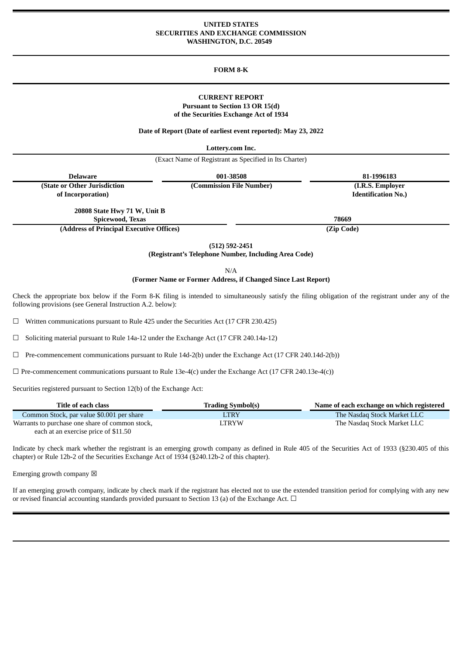### **UNITED STATES SECURITIES AND EXCHANGE COMMISSION WASHINGTON, D.C. 20549**

### **FORM 8-K**

# **CURRENT REPORT Pursuant to Section 13 OR 15(d) of the Securities Exchange Act of 1934**

**Date of Report (Date of earliest event reported): May 23, 2022**

**Lottery.com Inc.**

(Exact Name of Registrant as Specified in Its Charter)

**Delaware 001-38508 81-1996183**

**(State or Other Jurisdiction of Incorporation)**

**(Commission File Number) (I.R.S. Employer Identification No.)**

**20808 State Hwy 71 W, Unit B Spicewood, Texas 78669**

**(Address of Principal Executive Offices) (Zip Code)**

**(512) 592-2451**

**(Registrant's Telephone Number, Including Area Code)**

N/A

## **(Former Name or Former Address, if Changed Since Last Report)**

Check the appropriate box below if the Form 8-K filing is intended to simultaneously satisfy the filing obligation of the registrant under any of the following provisions (see General Instruction A.2. below):

 $\Box$  Written communications pursuant to Rule 425 under the Securities Act (17 CFR 230.425)

 $\Box$  Soliciting material pursuant to Rule 14a-12 under the Exchange Act (17 CFR 240.14a-12)

☐ Pre-commencement communications pursuant to Rule 14d-2(b) under the Exchange Act (17 CFR 240.14d-2(b))

 $\Box$  Pre-commencement communications pursuant to Rule 13e-4(c) under the Exchange Act (17 CFR 240.13e-4(c))

Securities registered pursuant to Section 12(b) of the Exchange Act:

| Title of each class                             | <b>Trading Symbol(s)</b> | Name of each exchange on which registered |
|-------------------------------------------------|--------------------------|-------------------------------------------|
| Common Stock, par value \$0.001 per share       | <b>LTRY</b>              | The Nasdag Stock Market LLC               |
| Warrants to purchase one share of common stock, | LTRYW                    | The Nasdaq Stock Market LLC               |
| each at an exercise price of \$11.50            |                          |                                           |

Indicate by check mark whether the registrant is an emerging growth company as defined in Rule 405 of the Securities Act of 1933 (§230.405 of this chapter) or Rule 12b-2 of the Securities Exchange Act of 1934 (§240.12b-2 of this chapter).

Emerging growth company  $\boxtimes$ 

If an emerging growth company, indicate by check mark if the registrant has elected not to use the extended transition period for complying with any new or revised financial accounting standards provided pursuant to Section 13 (a) of the Exchange Act.  $\Box$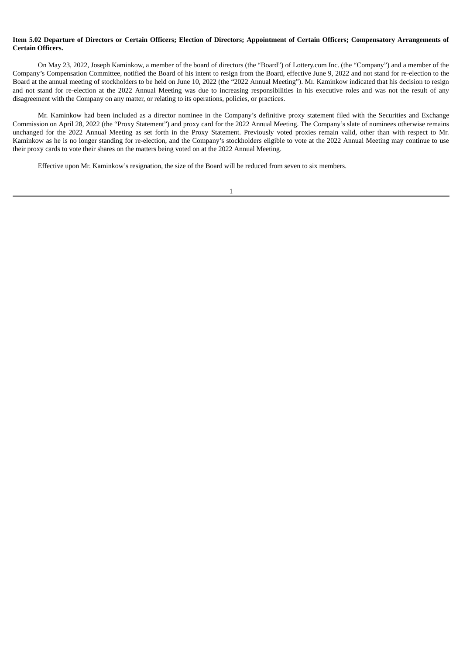# Item 5.02 Departure of Directors or Certain Officers: Election of Directors: Appointment of Certain Officers: Compensatory Arrangements of **Certain Officers.**

On May 23, 2022, Joseph Kaminkow, a member of the board of directors (the "Board") of Lottery.com Inc. (the "Company") and a member of the Company's Compensation Committee, notified the Board of his intent to resign from the Board, effective June 9, 2022 and not stand for re-election to the Board at the annual meeting of stockholders to be held on June 10, 2022 (the "2022 Annual Meeting"). Mr. Kaminkow indicated that his decision to resign and not stand for re-election at the 2022 Annual Meeting was due to increasing responsibilities in his executive roles and was not the result of any disagreement with the Company on any matter, or relating to its operations, policies, or practices.

Mr. Kaminkow had been included as a director nominee in the Company's definitive proxy statement filed with the Securities and Exchange Commission on April 28, 2022 (the "Proxy Statement") and proxy card for the 2022 Annual Meeting. The Company's slate of nominees otherwise remains unchanged for the 2022 Annual Meeting as set forth in the Proxy Statement. Previously voted proxies remain valid, other than with respect to Mr. Kaminkow as he is no longer standing for re-election, and the Company's stockholders eligible to vote at the 2022 Annual Meeting may continue to use their proxy cards to vote their shares on the matters being voted on at the 2022 Annual Meeting.

Effective upon Mr. Kaminkow's resignation, the size of the Board will be reduced from seven to six members.

1